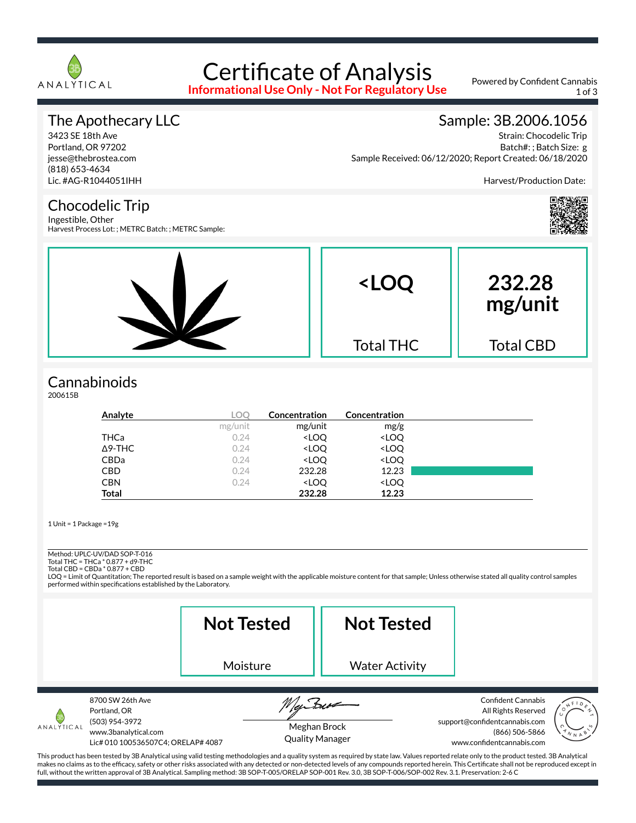

# Certificate of Analysis

**Informational Use Only - Not For Regulatory Use**

Powered by Confident Cannabis 1 of 3

### The Apothecary LLC

3423 SE 18th Ave Portland, OR 97202 jesse@thebrostea.com (818) 653-4634 Lic. #AG-R1044051IHH

### Sample: 3B.2006.1056

Strain: Chocodelic Trip Batch#: ; Batch Size: g Sample Received: 06/12/2020; Report Created: 06/18/2020

Harvest/Production Date:

#### Chocodelic Trip

Ingestible, Other Harvest Process Lot: ; METRC Batch: ; METRC Sample:



### **Cannabinoids**

200615B

| Analyte        | LOO     | Concentration                                            | Concentration                |  |
|----------------|---------|----------------------------------------------------------|------------------------------|--|
|                | mg/unit | mg/unit                                                  | mg/g                         |  |
| THCa           | 0.24    | <loq< th=""><th><loq< th=""><th></th></loq<></th></loq<> | <loq< th=""><th></th></loq<> |  |
| $\Delta$ 9-THC | 0.24    | <loq< th=""><th><loq< th=""><th></th></loq<></th></loq<> | <loq< th=""><th></th></loq<> |  |
| <b>CBDa</b>    | 0.24    | <loq< th=""><th><loq< th=""><th></th></loq<></th></loq<> | <loq< th=""><th></th></loq<> |  |
| <b>CBD</b>     | 0.24    | 232.28                                                   | 12.23                        |  |
| <b>CBN</b>     | 0.24    | <loq< th=""><th><loq< th=""><th></th></loq<></th></loq<> | <loq< th=""><th></th></loq<> |  |
| <b>Total</b>   |         | 232.28                                                   | 12.23                        |  |

1 Unit = 1 Package =19g

## Method: UPLC-UV/DAD SOP-T-016

Total THC = THCa \* 0.877 + d9-THC Total CBD = CBDa \* 0.877 + CBD

LOQ = Limit of Quantitation; The reported result is based on a sample weight with the applicable moisture content for that sample; Unless otherwise stated all quality control samples performed within specifications established by the Laboratory.

**Not Tested Not Tested** Moisture Water Activity 8700 SW 26th Ave Confident Cannabis Portland, OR All Rights Reserved (503) 954-3972 support@confidentcannabis.com ANALYTICAL Meghan Brock www.3banalytical.com (866) 506-5866 Quality ManagerLic# 010 100536507C4; ORELAP# 4087 www.confidentcannabis.com

This product has been tested by 3B Analytical using valid testing methodologies and a quality system as required by state law. Values reported relate only to the product tested. 3B Analytical makes no claims as to the efficacy, safety or other risks associated with any detected or non-detected levels of any compounds reported herein. This Certificate shall not be reproduced except in full, without the written approval of 3B Analytical. Sampling method: 3B SOP-T-005/ORELAP SOP-001 Rev. 3.0, 3B SOP-T-006/SOP-002 Rev. 3.1. Preservation: 2-6 C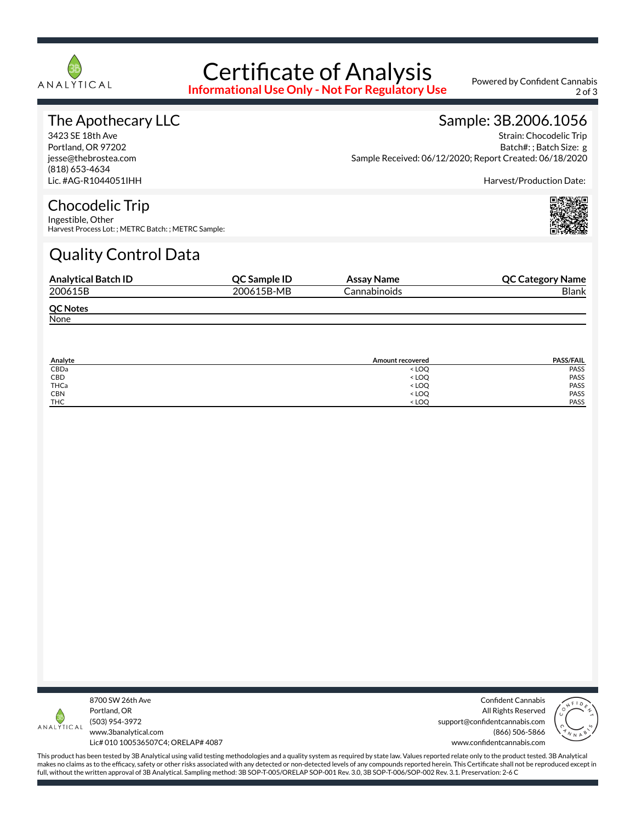

## Certificate of Analysis

**Informational Use Only - Not For Regulatory Use**

Powered by Confident Cannabis 2 of 3

### The Apothecary LLC

3423 SE 18th Ave Portland, OR 97202 jesse@thebrostea.com (818) 653-4634 Lic. #AG-R1044051IHH

## Sample: 3B.2006.1056

Strain: Chocodelic Trip Batch#: ; Batch Size: g Sample Received: 06/12/2020; Report Created: 06/18/2020

Harvest/Production Date:

### Chocodelic Trip

Ingestible, Other Harvest Process Lot: ; METRC Batch: ; METRC Sample:

### Quality Control Data

| <b>Analytical Batch ID</b> | <b>OC Sample ID</b> | Assay Name   | <b>QC Category Name</b> |
|----------------------------|---------------------|--------------|-------------------------|
| 200615B                    | 200615B-MB          | Cannabinoids | <b>Blank</b>            |
| <b>QC Notes</b>            |                     |              |                         |
| None                       |                     |              |                         |

| Analyte    | <b>Amount recovered</b>                 | <b>PASS/FAIL</b> |
|------------|-----------------------------------------|------------------|
| CBDa       | <loq< td=""><td>PASS</td></loq<>        | PASS             |
| CBD        | <loq< td=""><td>PASS</td></loq<>        | PASS             |
| THCa       | < LOQ                                   | PASS             |
| <b>CBN</b> | <loq< td=""><td><b>PASS</b></td></loq<> | <b>PASS</b>      |
| <b>THC</b> | $<$ LOO                                 | PASS             |



8700 SW 26th Ave Portland, OR (503) 954-3972 www.3banalytical.com Lic# 010 100536507C4; ORELAP# 4087

Confident Cannabis All Rights Reserved support@confidentcannabis.com (866) 506-5866 www.confidentcannabis.com



This product has been tested by 3B Analytical using valid testing methodologies and a quality system as required by state law. Values reported relate only to the product tested. 3B Analytical makes no claims as to the efficacy, safety or other risks associated with any detected or non-detected levels of any compounds reported herein. This Certificate shall not be reproduced except in full, without the written approval of 3B Analytical. Sampling method: 3B SOP-T-005/ORELAP SOP-001 Rev. 3.0, 3B SOP-T-006/SOP-002 Rev. 3.1. Preservation: 2-6 C